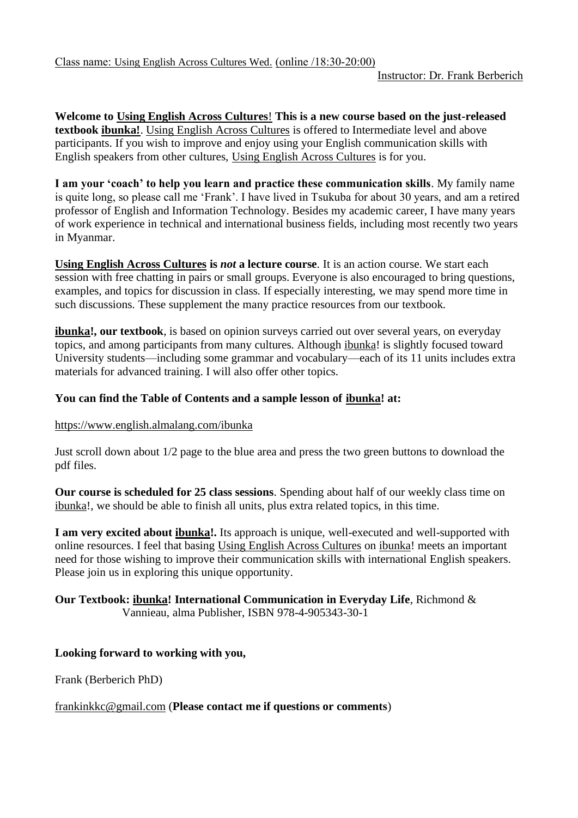**Welcome to Using English Across Cultures**! **This is a new course based on the just-released textbook ibunka!**. Using English Across Cultures is offered to Intermediate level and above participants. If you wish to improve and enjoy using your English communication skills with English speakers from other cultures, Using English Across Cultures is for you.

**I am your 'coach' to help you learn and practice these communication skills**. My family name is quite long, so please call me 'Frank'. I have lived in Tsukuba for about 30 years, and am a retired professor of English and Information Technology. Besides my academic career, I have many years of work experience in technical and international business fields, including most recently two years in Myanmar.

**Using English Across Cultures is** *not* **a lecture course**. It is an action course. We start each session with free chatting in pairs or small groups. Everyone is also encouraged to bring questions, examples, and topics for discussion in class. If especially interesting, we may spend more time in such discussions. These supplement the many practice resources from our textbook.

**ibunka!, our textbook**, is based on opinion surveys carried out over several years, on everyday topics, and among participants from many cultures. Although ibunka! is slightly focused toward University students—including some grammar and vocabulary—each of its 11 units includes extra materials for advanced training. I will also offer other topics.

# **You can find the Table of Contents and a sample lesson of ibunka! at:**

## <https://www.english.almalang.com/ibunka>

Just scroll down about 1/2 page to the blue area and press the two green buttons to download the pdf files.

**Our course is scheduled for 25 class sessions**. Spending about half of our weekly class time on ibunka!, we should be able to finish all units, plus extra related topics, in this time.

**I am very excited about ibunka!.** Its approach is unique, well-executed and well-supported with online resources. I feel that basing Using English Across Cultures on ibunka! meets an important need for those wishing to improve their communication skills with international English speakers. Please join us in exploring this unique opportunity.

#### **Our Textbook: ibunka! International Communication in Everyday Life**, Richmond & Vannieau, alma Publisher, ISBN 978-4-905343-30-1

## **Looking forward to working with you,**

Frank (Berberich PhD)

## [frankinkkc@gmail.com](mailto:frankinkkc@gmail.com) (**Please contact me if questions or comments**)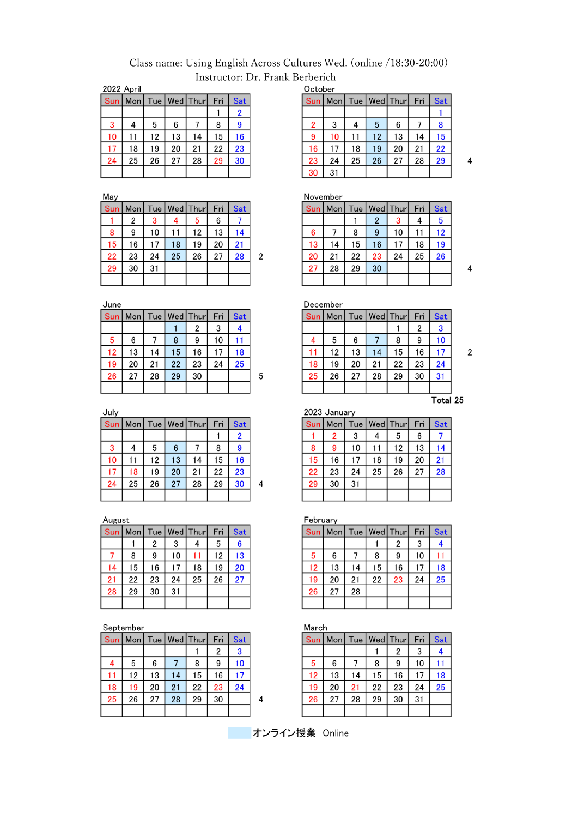# Class name: Using English Across Cultures Wed. (online /18:30-20:00) Instructor: Dr. Frank Berberich

 $\overline{2}$ 

2022 April

| Sun |    |    |    | Mon   Tue   Wed   Thur | Fri | Sat            |
|-----|----|----|----|------------------------|-----|----------------|
|     |    |    |    |                        |     | $\overline{2}$ |
| 3   | 4  | 5  | 6  |                        | 8   | 9              |
| 10  | 11 | 12 | 13 | 14                     | 15  | 16             |
| 17  | 18 | 19 | 20 | 21                     | 22  | 23             |
| 24  | 25 | 26 | 27 | 28                     | 29  | 30             |
|     |    |    |    |                        |     |                |

May

| <b>Sun</b> |    |    |    | Mon   Tue   Wed   Thur | Fri | <b>Sat</b> |
|------------|----|----|----|------------------------|-----|------------|
|            | 2  | 3  |    | 5                      | 6   |            |
| 8          | 9  | 10 | 11 | 12                     | 13  | 14         |
| 15         | 16 | 17 | 18 | 19                     | 20  | 21         |
| 22         | 23 | 24 | 25 | 26                     | 27  | 28         |
| 29         | 30 | 31 |    |                        |     |            |
|            |    |    |    |                        |     |            |

June

| --- |    |    |    |                        |     |     |   |  |  |
|-----|----|----|----|------------------------|-----|-----|---|--|--|
| Sun |    |    |    | Mon   Tue   Wed   Thur | Fri | Sat |   |  |  |
|     |    |    |    | 2                      | 3   |     |   |  |  |
| 5   | 6  |    | 8  | 9                      | 10  |     |   |  |  |
| 12  | 13 | 14 | 15 | 16                     | 17  | 18  |   |  |  |
| 19  | 20 | 21 | 22 | 23                     | 24  | 25  |   |  |  |
| 26  | 27 | 28 | 29 | 30                     |     |     | 5 |  |  |
|     |    |    |    |                        |     |     |   |  |  |

July

| Sun   Mon   Tue   Wed   Thur |    |    |    |    | Fri | <b>Sat</b> |   |
|------------------------------|----|----|----|----|-----|------------|---|
|                              |    |    |    |    |     | 2          |   |
| 3                            |    | 5  | 6  |    | 8   |            |   |
| 10                           | 11 | 12 | 13 | 14 | 15  | 16         |   |
| 17                           | 18 | 19 | 20 | 21 | 22  | 23         |   |
| 24                           | 25 | 26 | 27 | 28 | 29  | 30         | 4 |
|                              |    |    |    |    |     |            |   |

August

| <b>Sun</b> | Mon | Tue |    | Wed Thur | Fri | Sat |
|------------|-----|-----|----|----------|-----|-----|
|            |     | 2   | 3  | 4        | 5   | 6   |
|            | 8   | 9   | 10 |          | 12  | 13  |
| 14         | 15  | 16  | 17 | 18       | 19  | 20  |
| 21         | 22  | 23  | 24 | 25       | 26  | 27  |
| 28         | 29  | 30  | 31 |          |     |     |
|            |     |     |    |          |     |     |

#### September

|    |    |    |    | Sun   Mon   Tue   Wed   Thur | Fri | <b>Sat</b> |   |
|----|----|----|----|------------------------------|-----|------------|---|
|    |    |    |    |                              | 2   |            |   |
|    | 5  | 6  |    | 8                            | 9   | 10         |   |
| 11 | 12 | 13 | 14 | 15                           | 16  |            |   |
| 18 | 19 | 20 | 21 | 22                           | 23  | 24         |   |
| 25 | 26 | 27 | 28 | 29                           | 30  |            | 4 |
|    |    |    |    |                              |     |            |   |

| October        |     |    |    |                  |     |     |  |  |  |
|----------------|-----|----|----|------------------|-----|-----|--|--|--|
| <b>Sun</b>     | Mon |    |    | Tue   Wed   Thur | Fri | Sat |  |  |  |
|                |     |    |    |                  |     |     |  |  |  |
| $\overline{2}$ | 3   | 4  | 5  | 6                |     | 8   |  |  |  |
| 9              | 10  | 11 | 12 | 13               | 14  | 15  |  |  |  |
| 16             | 17  | 18 | 19 | 20               | 21  | 22  |  |  |  |
| 23             | 24  | 25 | 26 | 27               | 28  | 29  |  |  |  |
| 30             | 31  |    |    |                  |     |     |  |  |  |

November

|    | Sun   Mon |    |                | Tue   Wed   Thur   Fri |    | Sat |
|----|-----------|----|----------------|------------------------|----|-----|
|    |           |    | $\overline{2}$ | 3                      |    | 5   |
| 6  |           | 8  | 9              | 10                     | 11 | 12  |
| 13 | 14        | 15 | 16             | 17                     | 18 | 19  |
| 20 | 21        | 22 | 23             | 24                     | 25 | 26  |
| 27 | 28        | 29 | 30             |                        |    |     |
|    |           |    |                |                        |    |     |

 $\overline{\mathbf{4}}$ 

 $\overline{2}$ 

 $\overline{4}$ 

| December |      |    |    |                  |     |            |  |  |  |
|----------|------|----|----|------------------|-----|------------|--|--|--|
| Sun      | Monl |    |    | Tue   Wed   Thur | Fri | <b>Sat</b> |  |  |  |
|          |      |    |    |                  | 2   | 3          |  |  |  |
|          | 5    | 6  |    | 8                | 9   | 10         |  |  |  |
| 11       | 12   | 13 | 14 | 15               | 16  |            |  |  |  |
| 18       | 19   | 20 | 21 | 22               | 23  | 24         |  |  |  |
| 25       | 26   | 27 | 28 | 29               | 30  | 31         |  |  |  |
|          |      |    |    |                  |     |            |  |  |  |
|          |      |    |    |                  |     | T.L.I      |  |  |  |

 $\overline{\text{Total}}$  25

|     | 2023 January |       |    |          |     |     |  |  |  |  |  |
|-----|--------------|-------|----|----------|-----|-----|--|--|--|--|--|
| Sun | Mon          | Tue I |    | Wed Thur | Fri | Sat |  |  |  |  |  |
|     | 2            | 3     |    | 5        | 6   |     |  |  |  |  |  |
| 8   | 9            | 10    |    | 12       | 13  | 14  |  |  |  |  |  |
| 15  | 16           | 17    | 18 | 19       | 20  | 21  |  |  |  |  |  |
| 22  | 23           | 24    | 25 | 26       | 27  | 28  |  |  |  |  |  |
| 29  | 30           | 31    |    |          |     |     |  |  |  |  |  |
|     |              |       |    |          |     |     |  |  |  |  |  |

February

|    |    |    |    | Sun   Mon   Tue   Wed   Thur | Fri | <b>Sat</b> |
|----|----|----|----|------------------------------|-----|------------|
|    |    |    |    | 2                            | 3   |            |
| 5  | 6  |    | 8  | 9                            | 10  |            |
| 12 | 13 | 14 | 15 | 16                           | 17  | 18         |
| 19 | 20 | 21 | 22 | 23                           | 24  | 25         |
| 26 | 27 | 28 |    |                              |     |            |
|    |    |    |    |                              |     |            |

March

| Sun | Mon |    |    | Tue   Wed   Thur | Fri | <b>Sat</b> |
|-----|-----|----|----|------------------|-----|------------|
|     |     |    |    | 2                | 3   |            |
| 5   | 6   |    | 8  | 9                | 10  |            |
| 12  | 13  | 14 | 15 | 16               | 17  | 18         |
| 19  | 20  | 21 | 22 | 23               | 24  | 25         |
| 26  | 27  | 28 | 29 | 30               | 31  |            |
|     |     |    |    |                  |     |            |

オンライン授業 Online